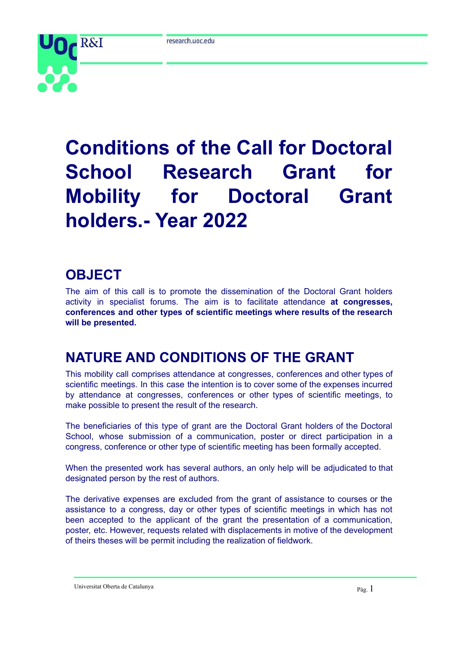

# **Conditions of the Call for Doctoral School Research Grant for Mobility for Doctoral Grant holders.- Year 2022**

# **OBJECT**

The aim of this call is to promote the dissemination of the Doctoral Grant holders activity in specialist forums. The aim is to facilitate attendance **at congresses, conferences and other types of scientific meetings where results of the research will be presented.**

# **NATURE AND CONDITIONS OF THE GRANT**

This mobility call comprises attendance at congresses, conferences and other types of scientific meetings. In this case the intention is to cover some of the expenses incurred by attendance at congresses, conferences or other types of scientific meetings, to make possible to present the result of the research.

The beneficiaries of this type of grant are the Doctoral Grant holders of the Doctoral School, whose submission of a communication, poster or direct participation in a congress, conference or other type of scientific meeting has been formally accepted.

When the presented work has several authors, an only help will be adjudicated to that designated person by the rest of authors.

The derivative expenses are excluded from the grant of assistance to courses or the assistance to a congress, day or other types of scientific meetings in which has not been accepted to the applicant of the grant the presentation of a communication, poster, etc. However, requests related with displacements in motive of the development of theirs theses will be permit including the realization of fieldwork.

Universitat Oberta de Catalunya Pàg. 1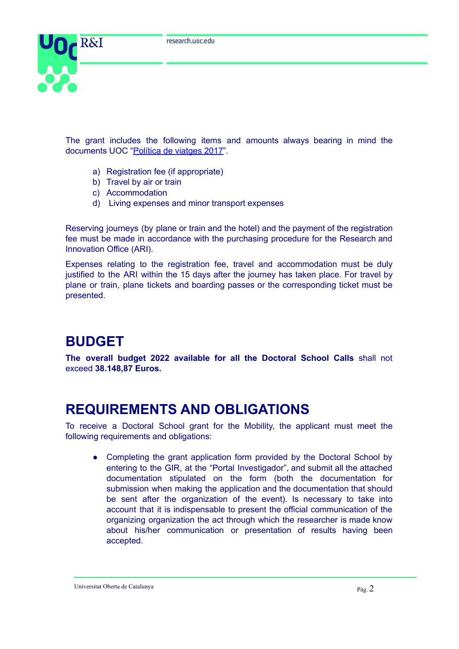

The grant includes the following items and amounts always bearing in mind the documents UOC ["Política](http://cv.uoc.edu/webapps/intrauoc2/documents/10530/247815/Pol%C3%ADtica+de+viatges+2017/e93d12cb-b4c7-4068-9e92-58101070e27e?redirect=http%3A%2F%2Fcv.uoc.edu%2Fwebapps%2Fintrauoc2%2Fen_GB%2Fgroup%2Fintrauoc%2Finterior%3Fp_p_id%3D175_INSTANCE_XytVkPhnH1H4%26p_p_lifecycle%3D0%26p_p_state%3Dnormal%26p_p_mode%3Dview%26p_p_col_id%3Dcolumn-3%26p_p_col_pos%3D2%26p_p_col_count%3D4) de viatges 2017".

- a) Registration fee (if appropriate)
- b) Travel by air or train
- c) Accommodation
- d) Living expenses and minor transport expenses

Reserving journeys (by plane or train and the hotel) and the payment of the registration fee must be made in accordance with the purchasing procedure for the Research and Innovation Office (ARI).

Expenses relating to the registration fee, travel and accommodation must be duly justified to the ARI within the 15 days after the journey has taken place. For travel by plane or train, plane tickets and boarding passes or the corresponding ticket must be presented.

# **BUDGET**

**The overall budget 2022 available for all the Doctoral School Calls** shall not exceed **38.148,87 Euros.**

#### **REQUIREMENTS AND OBLIGATIONS**

To receive a Doctoral School grant for the Mobility, the applicant must meet the following requirements and obligations:

• Completing the grant application form provided by the Doctoral School by entering to the GIR, at the "Portal Investigador", and submit all the attached documentation stipulated on the form (both the documentation for submission when making the application and the documentation that should be sent after the organization of the event). Is necessary to take into account that it is indispensable to present the official communication of the organizing organization the act through which the researcher is made know about his/her communication or presentation of results having been accepted.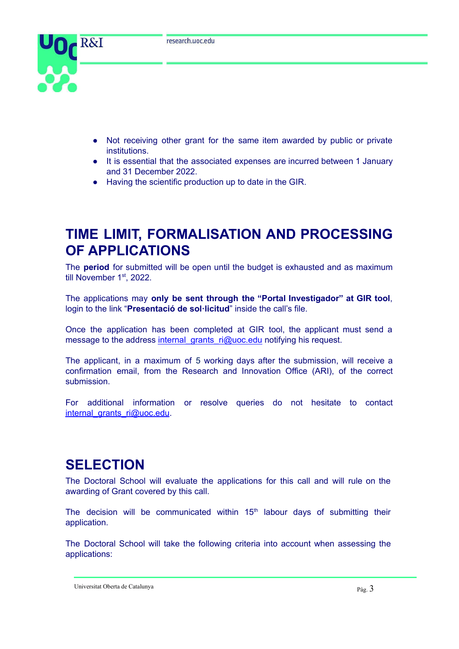

- Not receiving other grant for the same item awarded by public or private institutions.
- It is essential that the associated expenses are incurred between 1 January and 31 December 2022.
- Having the scientific production up to date in the GIR.

## **TIME LIMIT, FORMALISATION AND PROCESSING OF APPLICATIONS**

The **period** for submitted will be open until the budget is exhausted and as maximum till November  $1<sup>st</sup>$ , 2022.

The applications may **only be sent through the "Portal Investigador" at GIR tool**, login to the link "**Presentació de sol·licitud**" inside the call's file.

Once the application has been completed at GIR tool, the applicant must send a message to the address [internal\\_grants\\_ri@uoc.edu](mailto:internal_grants_ri@uoc.edu) notifying his request.

The applicant, in a maximum of 5 working days after the submission, will receive a confirmation email, from the Research and Innovation Office (ARI), of the correct submission.

For additional information or resolve queries do not hesitate to contact [internal\\_grants\\_ri@uoc.edu](mailto:internal_grants_ri@uoc.edu).

## **SELECTION**

The Doctoral School will evaluate the applications for this call and will rule on the awarding of Grant covered by this call.

The decision will be communicated within  $15<sup>th</sup>$  labour days of submitting their application.

The Doctoral School will take the following criteria into account when assessing the applications:

Universitat Oberta de Catalunya Pàg. 3